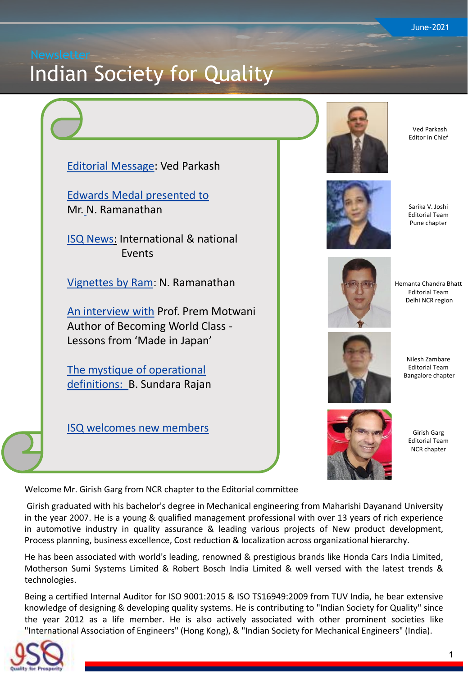# <span id="page-0-0"></span>Indian Society for Quality





Ved Parkash Editor in Chief



Sarika V. Joshi Editorial Team Pune chapter



Hemanta Chandra Bhatt Editorial Team Delhi NCR region



Nilesh Zambare Editorial Team Bangalore chapter



Girish Garg Editorial Team NCR chapter

Welcome Mr. Girish Garg from NCR chapter to the Editorial committee

Girish graduated with his bachelor's degree in Mechanical engineering from Maharishi Dayanand University in the year 2007. He is a young & qualified management professional with over 13 years of rich experience in automotive industry in quality assurance & leading various projects of New product development, Process planning, business excellence, Cost reduction & localization across organizational hierarchy.

He has been associated with world's leading, renowned & prestigious brands like Honda Cars India Limited, Motherson Sumi Systems Limited & Robert Bosch India Limited & well versed with the latest trends & technologies.

Being a certified Internal Auditor for ISO 9001:2015 & ISO TS16949:2009 from TUV India, he bear extensive knowledge of designing & developing quality systems. He is contributing to "Indian Society for Quality" since the year 2012 as a life member. He is also actively associated with other prominent societies like "International Association of Engineers" (Hong Kong), & "Indian Society for Mechanical Engineers" (India).

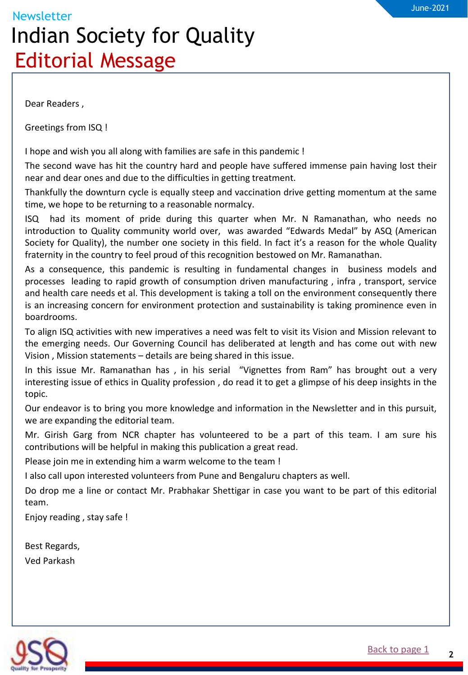## <span id="page-1-0"></span>**Newsletter** Indian Society for Quality Editorial Message

Dear Readers ,

Greetings from ISQ !

I hope and wish you all along with families are safe in this pandemic !

The second wave has hit the country hard and people have suffered immense pain having lost their near and dear ones and due to the difficulties in getting treatment.

Thankfully the downturn cycle is equally steep and vaccination drive getting momentum at the same time, we hope to be returning to a reasonable normalcy.

ISQ had its moment of pride during this quarter when Mr. N Ramanathan, who needs no introduction to Quality community world over, was awarded "Edwards Medal" by ASQ (American Society for Quality), the number one society in this field. In fact it's a reason for the whole Quality fraternity in the country to feel proud of this recognition bestowed on Mr. Ramanathan.

As a consequence, this pandemic is resulting in fundamental changes in business models and processes leading to rapid growth of consumption driven manufacturing , infra , transport, service and health care needs et al. This development is taking a toll on the environment consequently there is an increasing concern for environment protection and sustainability is taking prominence even in boardrooms.

To align ISQ activities with new imperatives a need was felt to visit its Vision and Mission relevant to the emerging needs. Our Governing Council has deliberated at length and has come out with new Vision , Mission statements – details are being shared in this issue. a

In this issue Mr. Ramanathan has , in his serial "Vignettes from Ram" has brought out a very interesting issue of ethics in Quality profession , do read it to get a glimpse of his deep insights in the topic.

Our endeavor is to bring you more knowledge and information in the Newsletter and in this pursuit, we are expanding the editorial team.

Mr. Girish Garg from NCR chapter has volunteered to be a part of this team. I am sure his contributions will be helpful in making this publication a great read.

Please join me in extending him a warm welcome to the team !

I also call upon interested volunteers from Pune and Bengaluru chapters as well.

Do drop me a line or contact Mr. Prabhakar Shettigar in case you want to be part of this editorial team.

Enjoy reading , stay safe !

Best Regards, Ved Parkash

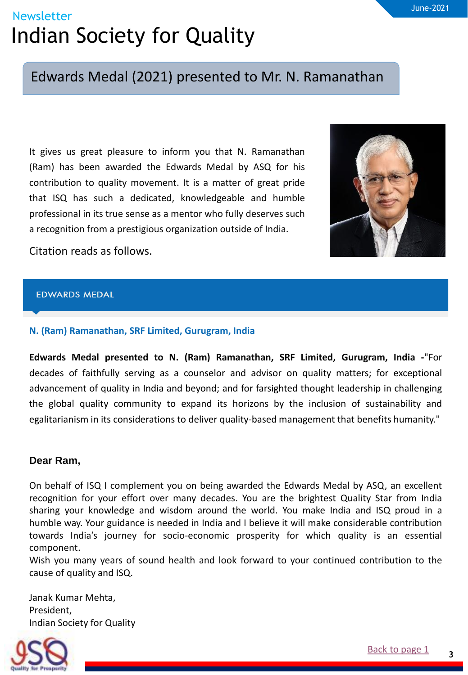### <span id="page-2-0"></span>Edwards Medal (2021) presented to Mr. N. Ramanathan

It gives us great pleasure to inform you that N. Ramanathan (Ram) has been awarded the Edwards Medal by ASQ for his contribution to quality movement. It is a matter of great pride that ISQ has such a dedicated, knowledgeable and humble professional in its true sense as a mentor who fully deserves such a recognition from a prestigious organization outside of India.



Citation reads as follows.

#### **EDWARDS MEDAL**

#### **N. (Ram) Ramanathan, SRF Limited, Gurugram, India**

**Edwards Medal presented to N. (Ram) Ramanathan, SRF Limited, Gurugram, India -**"For decades of faithfully serving as a counselor and advisor on quality matters; for exceptional advancement of quality in India and beyond; and for farsighted thought leadership in challenging the global quality community to expand its horizons by the inclusion of sustainability and egalitarianism in its considerations to deliver quality-based management that benefits humanity."

#### **Dear Ram,**

On behalf of ISQ I complement you on being awarded the Edwards Medal by ASQ, an excellent recognition for your effort over many decades. You are the brightest Quality Star from India sharing your knowledge and wisdom around the world. You make India and ISQ proud in a humble way. Your guidance is needed in India and I believe it will make considerable contribution towards India's journey for socio-economic prosperity for which quality is an essential component.

Wish you many years of sound health and look forward to your continued contribution to the cause of quality and ISQ.

Janak Kumar Mehta, President, Indian Society for Quality

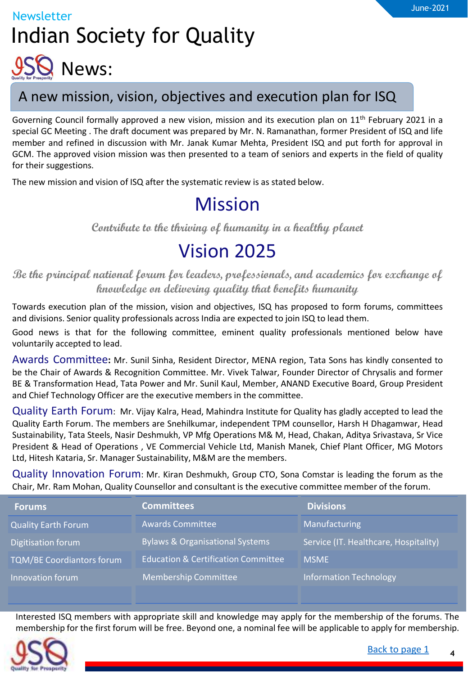<span id="page-3-0"></span>

### A new mission, vision, objectives and execution plan for ISQ

Governing Council formally approved a new vision, mission and its execution plan on 11<sup>th</sup> February 2021 in a special GC Meeting . The draft document was prepared by Mr. N. Ramanathan, former President of ISQ and life member and refined in discussion with Mr. Janak Kumar Mehta, President ISQ and put forth for approval in GCM. The approved vision mission was then presented to a team of seniors and experts in the field of quality for their suggestions.

The new mission and vision of ISQ after the systematic review is as stated below.

## Mission

**Contribute to the thriving of humanity in a healthy planet**

### Vision 2025

**Be the principal national forum for leaders, professionals, and academics for exchange of knowledge on delivering quality that benefits humanity**

Towards execution plan of the mission, vision and objectives, ISQ has proposed to form forums, committees and divisions. Senior quality professionals across India are expected to join ISQ to lead them.

Good news is that for the following committee, eminent quality professionals mentioned below have voluntarily accepted to lead.

Awards Committee**:** Mr. Sunil Sinha, Resident Director, MENA region, Tata Sons has kindly consented to be the Chair of Awards & Recognition Committee. Mr. Vivek Talwar, Founder Director of Chrysalis and former BE & Transformation Head, Tata Power and Mr. Sunil Kaul, Member, ANAND Executive Board, Group President and Chief Technology Officer are the executive members in the committee.

Quality Earth Forum: Mr. Vijay Kalra, Head, Mahindra Institute for Quality has gladly accepted to lead the Quality Earth Forum. The members are Snehilkumar, independent TPM counsellor, Harsh H Dhagamwar, Head Sustainability, Tata Steels, Nasir Deshmukh, VP Mfg Operations M& M, Head, Chakan, Aditya Srivastava, Sr Vice President & Head of Operations , VE Commercial Vehicle Ltd, Manish Manek, Chief Plant Officer, MG Motors Ltd, Hitesh Kataria, Sr. Manager Sustainability, M&M are the members.

Quality Innovation Forum: Mr. Kiran Deshmukh, Group CTO, Sona Comstar is leading the forum as the Chair, Mr. Ram Mohan, Quality Counsellor and consultant is the executive committee member of the forum.

| <b>Forums</b>                    | <b>Committees</b>                              | <b>Divisions</b>                      |
|----------------------------------|------------------------------------------------|---------------------------------------|
| <b>Quality Earth Forum</b>       | <b>Awards Committee</b>                        | Manufacturing                         |
| Digitisation forum               | <b>Bylaws &amp; Organisational Systems</b>     | Service (IT. Healthcare, Hospitality) |
| <b>TQM/BE Coordiantors forum</b> | <b>Education &amp; Certification Committee</b> | <b>MSME</b>                           |
| Innovation forum                 | <b>Membership Committee</b>                    | <b>Information Technology</b>         |

Interested ISQ members with appropriate skill and knowledge may apply for the membership of the forums. The membership for the first forum will be free. Beyond one, a nominal fee will be applicable to apply for membership.



**4**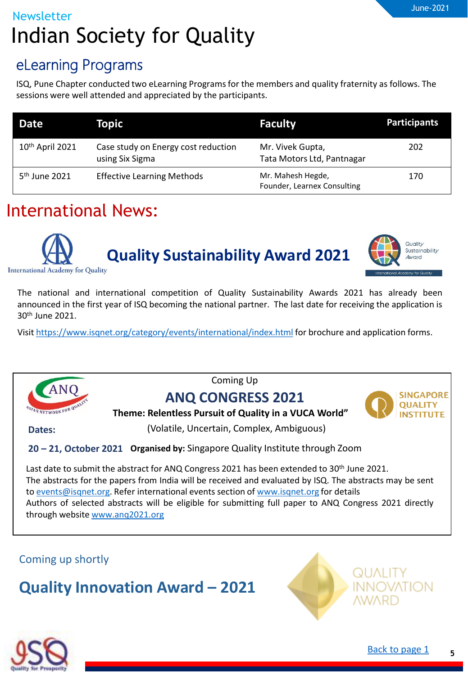### eLearning Programs

ISQ, Pune Chapter conducted two eLearning Programs for the members and quality fraternity as follows. The sessions were well attended and appreciated by the participants.

| <b>Date</b>                 | Topic                                                  | <b>Faculty</b>                                   | <b>Participants</b> |
|-----------------------------|--------------------------------------------------------|--------------------------------------------------|---------------------|
| 10 <sup>th</sup> April 2021 | Case study on Energy cost reduction<br>using Six Sigma | Mr. Vivek Gupta,<br>Tata Motors Ltd, Pantnagar   | 202                 |
| $5th$ June 2021             | <b>Effective Learning Methods</b>                      | Mr. Mahesh Hegde,<br>Founder, Learnex Consulting | 170                 |

## International News:





The national and international competition of Quality Sustainability Awards 2021 has already been announced in the first year of ISQ becoming the national partner. The last date for receiving the application is 30th June 2021.

Visit <https://www.isqnet.org/category/events/international/index.html> for brochure and application forms.



Coming Up

### **ANQ CONGRESS 2021**



**Theme: Relentless Pursuit of Quality in a VUCA World"**

**Dates:** 

(Volatile, Uncertain, Complex, Ambiguous)

### **Organised by:** Singapore Quality Institute through Zoom **20 – 21, October 2021**

Last date to submit the abstract for ANQ Congress 2021 has been extended to 30<sup>th</sup> June 2021. The abstracts for the papers from India will be received and evaluated by ISQ. The abstracts may be sent to [events@isqnet.org.](mailto:events@isqnet.org) Refer international events section of [www.isqnet.org](http://www.isqnet.org/) for details Authors of selected abstracts will be eligible for submitting full paper to ANQ Congress 2021 directly through website [www.anq2021.org](http://www.anq2021.org/)

Coming up shortly

**Quality Innovation Award – 2021**



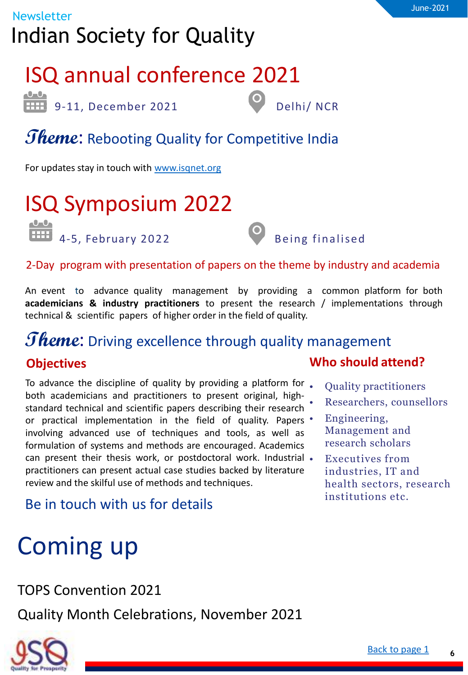# ISQ annual conference 2021

edded by Delhi/ NCR<br>
9-11, December 2021 Delhi/ NCR

## *Theme*: Rebooting Quality for Competitive India

For updates stay in touch with [www.isqnet.org](http://www.isqnet.org/)

# ISQ Symposium 2022



### 2-Day program with presentation of papers on the theme by industry and academia

An event to advance quality management by providing a common platform for both **academicians & industry practitioners** to present the research / implementations through technical & scientific papers of higher order in the field of quality.

### *Theme*: Driving excellence through quality management **Objectives**

To advance the discipline of quality by providing a platform for . both academicians and practitioners to present original, highstandard technical and scientific papers describing their research or practical implementation in the field of quality. Papers • involving advanced use of techniques and tools, as well as formulation of systems and methods are encouraged. Academics can present their thesis work, or postdoctoral work. Industrial . practitioners can present actual case studies backed by literature review and the skilful use of methods and techniques.

### Be in touch with us for details

# Coming up

TOPS Convention 2021

Quality Month Celebrations, November 2021



- Quality practitioners
- Researchers, counsellors
- Engineering, Management and research scholars
	- Executives from industries, IT and health sectors, research institutions etc.

**6**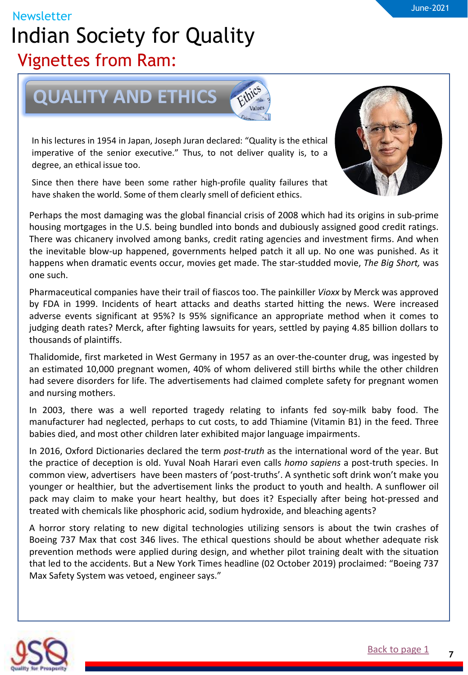### <span id="page-6-0"></span>Newsletter Indian Society for Quality Vignettes from Ram:



In his lectures in 1954 in Japan, Joseph Juran declared: "Quality is the ethical imperative of the senior executive." Thus, to not deliver quality is, to a degree, an ethical issue too.

Since then there have been some rather high-profile quality failures that have shaken the world. Some of them clearly smell of deficient ethics.

Perhaps the most damaging was the global financial crisis of 2008 which had its origins in sub-prime housing mortgages in the U.S. being bundled into bonds and dubiously assigned good credit ratings. There was chicanery involved among banks, credit rating agencies and investment firms. And when the inevitable blow-up happened, governments helped patch it all up. No one was punished. As it happens when dramatic events occur, movies get made. The star-studded movie, *The Big Short,* was one such.

Pharmaceutical companies have their trail of fiascos too. The painkiller *Vioxx* by Merck was approved by FDA in 1999. Incidents of heart attacks and deaths started hitting the news. Were increased adverse events significant at 95%? Is 95% significance an appropriate method when it comes to judging death rates? Merck, after fighting lawsuits for years, settled by paying 4.85 billion dollars to thousands of plaintiffs.

Thalidomide, first marketed in West Germany in 1957 as an over-the-counter drug, was ingested by an estimated 10,000 pregnant women, 40% of whom delivered still births while the other children had severe disorders for life. The advertisements had claimed complete safety for pregnant women and nursing mothers.

In 2003, there was a well reported tragedy relating to infants fed soy-milk baby food. The manufacturer had neglected, perhaps to cut costs, to add Thiamine (Vitamin B1) in the feed. Three babies died, and most other children later exhibited major language impairments.

In 2016, Oxford Dictionaries declared the term *post-truth* as the international word of the year. But the practice of deception is old. Yuval Noah Harari even calls *homo sapiens* a post-truth species. In common view, advertisers have been masters of 'post-truths'. A synthetic soft drink won't make you younger or healthier, but the advertisement links the product to youth and health. A sunflower oil pack may claim to make your heart healthy, but does it? Especially after being hot-pressed and treated with chemicals like phosphoric acid, sodium hydroxide, and bleaching agents?

A horror story relating to new digital technologies utilizing sensors is about the twin crashes of Boeing 737 Max that cost 346 lives. The ethical questions should be about whether adequate risk prevention methods were applied during design, and whether pilot training dealt with the situation that led to the accidents. But a New York Times headline (02 October 2019) proclaimed: "Boeing 737 Max Safety System was vetoed, engineer says."



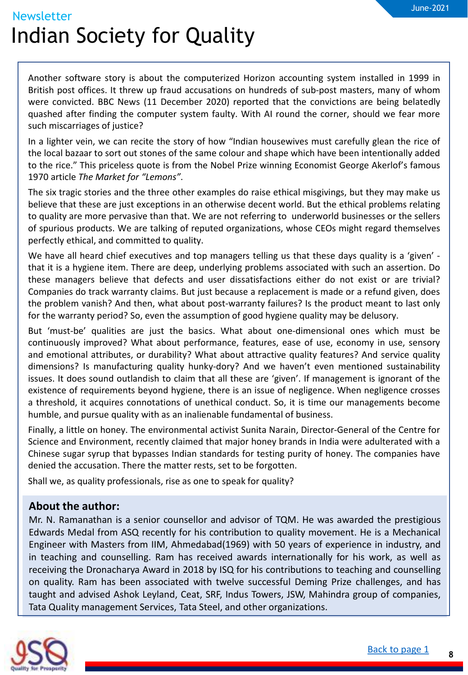Another software story is about the computerized Horizon accounting system installed in 1999 in British post offices. It threw up fraud accusations on hundreds of sub-post masters, many of whom were convicted. BBC News (11 December 2020) reported that the convictions are being belatedly quashed after finding the computer system faulty. With AI round the corner, should we fear more such miscarriages of justice?

In a lighter vein, we can recite the story of how "Indian housewives must carefully glean the rice of the local bazaar to sort out stones of the same colour and shape which have been intentionally added to the rice." This priceless quote is from the Nobel Prize winning Economist George Akerlof's famous 1970 article *The Market for "Lemons"*.

The six tragic stories and the three other examples do raise ethical misgivings, but they may make us believe that these are just exceptions in an otherwise decent world. But the ethical problems relating to quality are more pervasive than that. We are not referring to underworld businesses or the sellers of spurious products. We are talking of reputed organizations, whose CEOs might regard themselves perfectly ethical, and committed to quality.

We have all heard chief executives and top managers telling us that these days quality is a 'given' that it is a hygiene item. There are deep, underlying problems associated with such an assertion. Do these managers believe that defects and user dissatisfactions either do not exist or are trivial? Companies do track warranty claims. But just because a replacement is made or a refund given, does the problem vanish? And then, what about post-warranty failures? Is the product meant to last only for the warranty period? So, even the assumption of good hygiene quality may be delusory.

continuously improved? What about performance, features, ease of use, economy in use, sensory But 'must-be' qualities are just the basics. What about one-dimensional ones which must be and emotional attributes, or durability? What about attractive quality features? And service quality dimensions? Is manufacturing quality hunky-dory? And we haven't even mentioned sustainability issues. It does sound outlandish to claim that all these are 'given'. If management is ignorant of the existence of requirements beyond hygiene, there is an issue of negligence. When negligence crosses a threshold, it acquires connotations of unethical conduct. So, it is time our managements become humble, and pursue quality with as an inalienable fundamental of business.

Finally, a little on honey. The environmental activist Sunita Narain, Director-General of the Centre for Science and Environment, recently claimed that major honey brands in India were adulterated with a Chinese sugar syrup that bypasses Indian standards for testing purity of honey. The companies have denied the accusation. There the matter rests, set to be forgotten.

Shall we, as quality professionals, rise as one to speak for quality?

### **About the author:**

Mr. N. Ramanathan is a senior counsellor and advisor of TQM. He was awarded the prestigious Edwards Medal from ASQ recently for his contribution to quality movement. He is a Mechanical Engineer with Masters from IIM, Ahmedabad(1969) with 50 years of experience in industry, and in teaching and counselling. Ram has received awards internationally for his work, as well as receiving the Dronacharya Award in 2018 by ISQ for his contributions to teaching and counselling on quality. Ram has been associated with twelve successful Deming Prize challenges, and has taught and advised Ashok Leyland, Ceat, SRF, Indus Towers, JSW, Mahindra group of companies, Tata Quality management Services, Tata Steel, and other organizations.

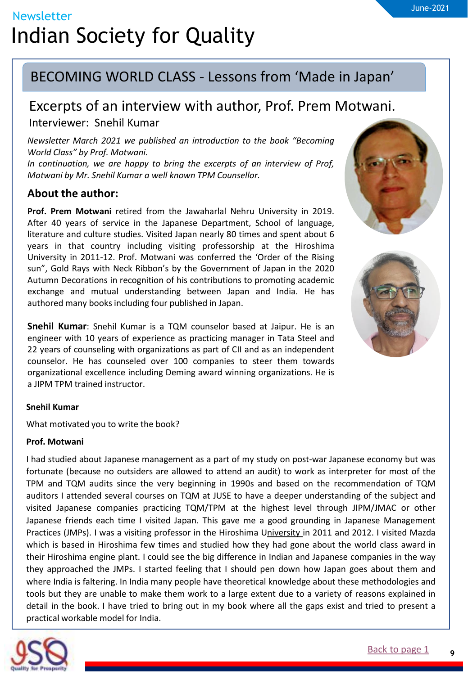### <span id="page-8-0"></span>BECOMING WORLD CLASS - Lessons from 'Made in Japan'

## Excerpts of an interview with author, Prof. Prem Motwani.

Interviewer: Snehil Kumar

*Newsletter March 2021 we published an introduction to the book "Becoming World Class" by Prof. Motwani.*

*In continuation, we are happy to bring the excerpts of an interview of Prof, Motwani by Mr. Snehil Kumar a well known TPM Counsellor.*

### **About the author:**

**Prof. Prem Motwani** retired from the Jawaharlal Nehru University in 2019. After 40 years of service in the Japanese Department, School of language, literature and culture studies. Visited Japan nearly 80 times and spent about 6 years in that country including visiting professorship at the Hiroshima University in 2011-12. Prof. Motwani was conferred the 'Order of the Rising sun", Gold Rays with Neck Ribbon's by the Government of Japan in the 2020 Autumn Decorations in recognition of his contributions to promoting academic exchange and mutual understanding between Japan and India. He has authored many books including four published in Japan.

a 22 years of counseling with organizations as part of CII and as an independent **Snehil Kumar**: Snehil Kumar is a TQM counselor based at Jaipur. He is an engineer with 10 years of experience as practicing manager in Tata Steel and counselor. He has counseled over 100 companies to steer them towards organizational excellence including Deming award winning organizations. He is a JIPM TPM trained instructor.

### **Snehil Kumar**

What motivated you to write the book?

### **Prof. Motwani**

I had studied about Japanese management as a part of my study on post-war Japanese economy but was fortunate (because no outsiders are allowed to attend an audit) to work as interpreter for most of the TPM and TQM audits since the very beginning in 1990s and based on the recommendation of TQM auditors I attended several courses on TQM at JUSE to have a deeper understanding of the subject and visited Japanese companies practicing TQM/TPM at the highest level through JIPM/JMAC or other Japanese friends each time I visited Japan. This gave me a good grounding in Japanese Management Practices (JMPs). I was a visiting professor in the Hiroshima University in 2011 and 2012. I visited Mazda which is based in Hiroshima few times and studied how they had gone about the world class award in their Hiroshima engine plant. I could see the big difference in Indian and Japanese companies in the way they approached the JMPs. I started feeling that I should pen down how Japan goes about them and where India is faltering. In India many people have theoretical knowledge about these methodologies and tools but they are unable to make them work to a large extent due to a variety of reasons explained in detail in the book. I have tried to bring out in my book where all the gaps exist and tried to present a practical workable model for India.





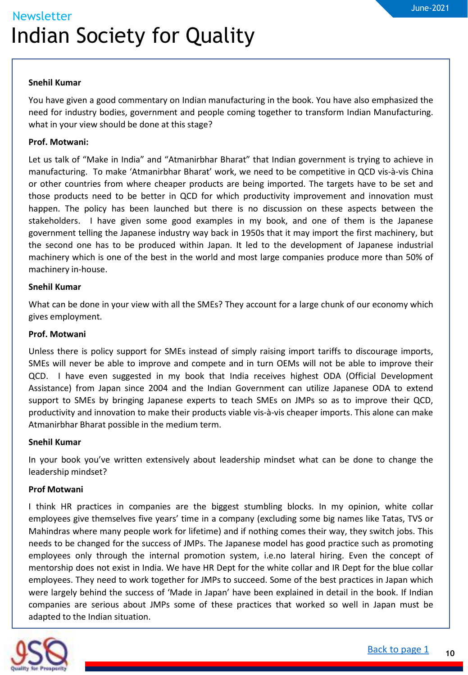### **Snehil Kumar**

You have given a good commentary on Indian manufacturing in the book. You have also emphasized the need for industry bodies, government and people coming together to transform Indian Manufacturing. what in your view should be done at this stage?

### **Prof. Motwani:**

Let us talk of "Make in India" and "Atmanirbhar Bharat" that Indian government is trying to achieve in manufacturing. To make 'Atmanirbhar Bharat' work, we need to be competitive in QCD vis-à-vis China or other countries from where cheaper products are being imported. The targets have to be set and those products need to be better in QCD for which productivity improvement and innovation must happen. The policy has been launched but there is no discussion on these aspects between the stakeholders. I have given some good examples in my book, and one of them is the Japanese government telling the Japanese industry way back in 1950s that it may import the first machinery, but the second one has to be produced within Japan. It led to the development of Japanese industrial machinery which is one of the best in the world and most large companies produce more than 50% of machinery in-house.

### **Snehil Kumar**

What can be done in your view with all the SMEs? They account for a large chunk of our economy which gives employment.

#### **Prof. Motwani**

Unless there is policy support for SMEs instead of simply raising import tariffs to discourage imports, SMEs will never be able to improve and compete and in turn OEMs will not be able to improve their QCD. I have even suggested in my book that India receives highest ODA (Official Development Assistance) from Japan since 2004 and the Indian Government can utilize Japanese ODA to extend support to SMEs by bringing Japanese experts to teach SMEs on JMPs so as to improve their QCD, productivity and innovation to make their products viable vis-à-vis cheaper imports. This alone can make Atmanirbhar Bharat possible in the medium term.

### **Snehil Kumar**

In your book you've written extensively about leadership mindset what can be done to change the leadership mindset?

### **Prof Motwani**

I think HR practices in companies are the biggest stumbling blocks. In my opinion, white collar employees give themselves five years' time in a company (excluding some big names like Tatas, TVS or Mahindras where many people work for lifetime) and if nothing comes their way, they switch jobs. This needs to be changed for the success of JMPs. The Japanese model has good practice such as promoting employees only through the internal promotion system, i.e.no lateral hiring. Even the concept of mentorship does not exist in India. We have HR Dept for the white collar and IR Dept for the blue collar employees. They need to work together for JMPs to succeed. Some of the best practices in Japan which were largely behind the success of 'Made in Japan' have been explained in detail in the book. If Indian companies are serious about JMPs some of these practices that worked so well in Japan must be adapted to the Indian situation.



**10**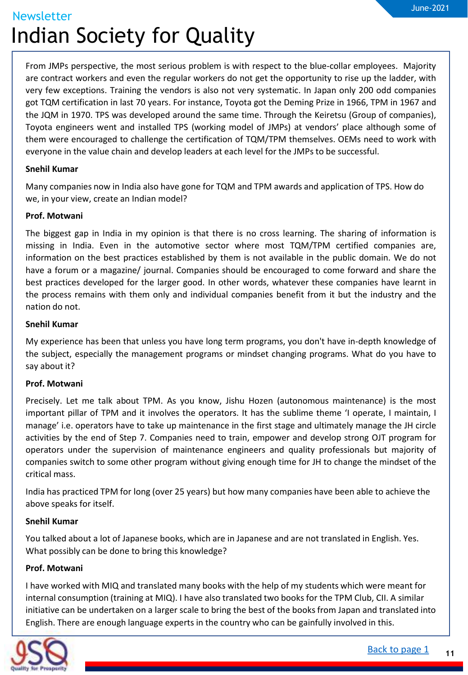From JMPs perspective, the most serious problem is with respect to the blue-collar employees. Majority are contract workers and even the regular workers do not get the opportunity to rise up the ladder, with very few exceptions. Training the vendors is also not very systematic. In Japan only 200 odd companies got TQM certification in last 70 years. For instance, Toyota got the Deming Prize in 1966, TPM in 1967 and the JQM in 1970. TPS was developed around the same time. Through the Keiretsu (Group of companies), Toyota engineers went and installed TPS (working model of JMPs) at vendors' place although some of them were encouraged to challenge the certification of TQM/TPM themselves. OEMs need to work with everyone in the value chain and develop leaders at each level for the JMPs to be successful.

#### **Snehil Kumar**

Many companies now in India also have gone for TQM and TPM awards and application of TPS. How do we, in your view, create an Indian model?

#### **Prof. Motwani**

The biggest gap in India in my opinion is that there is no cross learning. The sharing of information is missing in India. Even in the automotive sector where most TQM/TPM certified companies are, information on the best practices established by them is not available in the public domain. We do not have a forum or a magazine/ journal. Companies should be encouraged to come forward and share the best practices developed for the larger good. In other words, whatever these companies have learnt in the process remains with them only and individual companies benefit from it but the industry and the nation do not.

#### **Snehil Kumar**

My experience has been that unless you have long term programs, you don't have in-depth knowledge of the subject, especially the management programs or mindset changing programs. What do you have to say about it?

#### **Prof. Motwani**

Precisely. Let me talk about TPM. As you know, Jishu Hozen (autonomous maintenance) is the most important pillar of TPM and it involves the operators. It has the sublime theme 'I operate, I maintain, I manage' i.e. operators have to take up maintenance in the first stage and ultimately manage the JH circle activities by the end of Step 7. Companies need to train, empower and develop strong OJT program for operators under the supervision of maintenance engineers and quality professionals but majority of companies switch to some other program without giving enough time for JH to change the mindset of the critical mass.

India has practiced TPM for long (over 25 years) but how many companies have been able to achieve the above speaks for itself.

#### **Snehil Kumar**

You talked about a lot of Japanese books, which are in Japanese and are not translated in English. Yes. What possibly can be done to bring this knowledge?

#### **Prof. Motwani**

I have worked with MIQ and translated many books with the help of my students which were meant for internal consumption (training at MIQ). I have also translated two books for the TPM Club, CII. A similar initiative can be undertaken on a larger scale to bring the best of the books from Japan and translated into English. There are enough language experts in the country who can be gainfully involved in this.

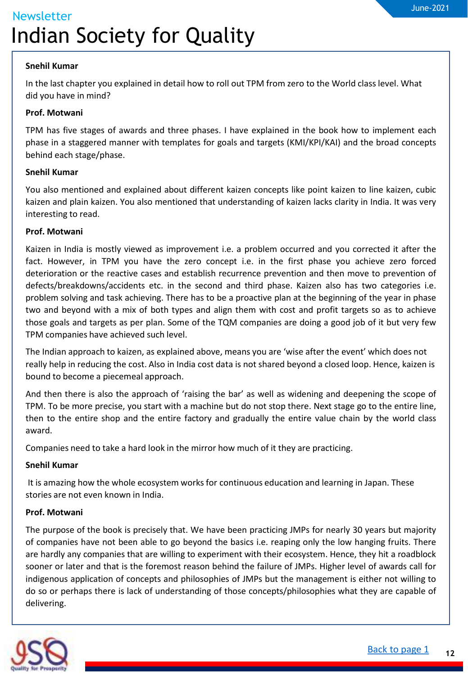### **Snehil Kumar**

In the last chapter you explained in detail how to roll out TPM from zero to the World class level. What did you have in mind?

### **Prof. Motwani**

TPM has five stages of awards and three phases. I have explained in the book how to implement each phase in a staggered manner with templates for goals and targets (KMI/KPI/KAI) and the broad concepts behind each stage/phase.

### **Snehil Kumar**

You also mentioned and explained about different kaizen concepts like point kaizen to line kaizen, cubic kaizen and plain kaizen. You also mentioned that understanding of kaizen lacks clarity in India. It was very interesting to read.

### **Prof. Motwani**

Kaizen in India is mostly viewed as improvement i.e. a problem occurred and you corrected it after the fact. However, in TPM you have the zero concept i.e. in the first phase you achieve zero forced deterioration or the reactive cases and establish recurrence prevention and then move to prevention of defects/breakdowns/accidents etc. in the second and third phase. Kaizen also has two categories i.e. problem solving and task achieving. There has to be a proactive plan at the beginning of the year in phase two and beyond with a mix of both types and align them with cost and profit targets so as to achieve those goals and targets as per plan. Some of the TQM companies are doing a good job of it but very few TPM companies have achieved such level.

The Indian approach to kaizen, as explained above, means you are 'wise after the event' which does not really help in reducing the cost. Also in India cost data is not shared beyond a closed loop. Hence, kaizen is bound to become a piecemeal approach.

And then there is also the approach of 'raising the bar' as well as widening and deepening the scope of TPM. To be more precise, you start with a machine but do not stop there. Next stage go to the entire line, then to the entire shop and the entire factory and gradually the entire value chain by the world class award.

Companies need to take a hard look in the mirror how much of it they are practicing.

### **Snehil Kumar**

It is amazing how the whole ecosystem works for continuous education and learning in Japan. These stories are not even known in India.

### **Prof. Motwani**

The purpose of the book is precisely that. We have been practicing JMPs for nearly 30 years but majority of companies have not been able to go beyond the basics i.e. reaping only the low hanging fruits. There are hardly any companies that are willing to experiment with their ecosystem. Hence, they hit a roadblock sooner or later and that is the foremost reason behind the failure of JMPs. Higher level of awards call for indigenous application of concepts and philosophies of JMPs but the management is either not willing to do so or perhaps there is lack of understanding of those concepts/philosophies what they are capable of delivering.

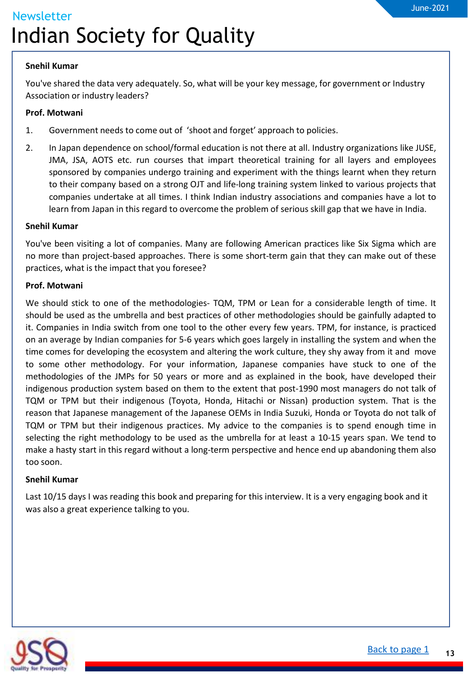#### **Snehil Kumar**

You've shared the data very adequately. So, what will be your key message, for government or Industry Association or industry leaders?

### **Prof. Motwani**

- 1. Government needs to come out of 'shoot and forget' approach to policies.
- 2. In Japan dependence on school/formal education is not there at all. Industry organizations like JUSE, JMA, JSA, AOTS etc. run courses that impart theoretical training for all layers and employees sponsored by companies undergo training and experiment with the things learnt when they return to their company based on a strong OJT and life-long training system linked to various projects that companies undertake at all times. I think Indian industry associations and companies have a lot to learn from Japan in this regard to overcome the problem of serious skill gap that we have in India.

### **Snehil Kumar**

You've been visiting a lot of companies. Many are following American practices like Six Sigma which are no more than project-based approaches. There is some short-term gain that they can make out of these practices, what is the impact that you foresee?

### **Prof. Motwani**

on an average by Indian companies for 5-6 years which goes largely in installing the system and when the We should stick to one of the methodologies- TQM, TPM or Lean for a considerable length of time. It should be used as the umbrella and best practices of other methodologies should be gainfully adapted to it. Companies in India switch from one tool to the other every few years. TPM, for instance, is practiced time comes for developing the ecosystem and altering the work culture, they shy away from it and move to some other methodology. For your information, Japanese companies have stuck to one of the methodologies of the JMPs for 50 years or more and as explained in the book, have developed their indigenous production system based on them to the extent that post-1990 most managers do not talk of TQM or TPM but their indigenous (Toyota, Honda, Hitachi or Nissan) production system. That is the reason that Japanese management of the Japanese OEMs in India Suzuki, Honda or Toyota do not talk of TQM or TPM but their indigenous practices. My advice to the companies is to spend enough time in selecting the right methodology to be used as the umbrella for at least a 10-15 years span. We tend to make a hasty start in this regard without a long-term perspective and hence end up abandoning them also too soon.

### **Snehil Kumar**

Last 10/15 days I was reading this book and preparing for this interview. It is a very engaging book and it was also a great experience talking to you.

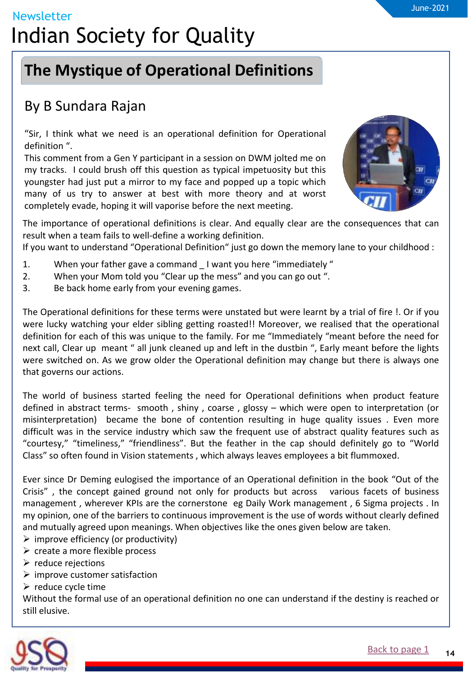## <span id="page-13-0"></span>**The Mystique of Operational Definitions**

### By B Sundara Rajan

"Sir, I think what we need is an operational definition for Operational definition ".

This comment from a Gen Y participant in a session on DWM jolted me on my tracks. I could brush off this question as typical impetuosity but this youngster had just put a mirror to my face and popped up a topic which many of us try to answer at best with more theory and at worst completely evade, hoping it will vaporise before the next meeting.



The importance of operational definitions is clear. And equally clear are the consequences that can result when a team fails to well-define a working definition.

If you want to understand "Operational Definition" just go down the memory lane to your childhood :

- 1. When your father gave a command I want you here "immediately"
- 2. When your Mom told you "Clear up the mess" and you can go out ".
- 3. Be back home early from your evening games.

a definition for each of this was unique to the family. For me "Immediately "meant before the need for The Operational definitions for these terms were unstated but were learnt by a trial of fire !. Or if you were lucky watching your elder sibling getting roasted!! Moreover, we realised that the operational next call, Clear up meant " all junk cleaned up and left in the dustbin ", Early meant before the lights were switched on. As we grow older the Operational definition may change but there is always one that governs our actions.

The world of business started feeling the need for Operational definitions when product feature defined in abstract terms- smooth , shiny , coarse , glossy – which were open to interpretation (or misinterpretation) became the bone of contention resulting in huge quality issues . Even more difficult was in the service industry which saw the frequent use of abstract quality features such as "courtesy," "timeliness," "friendliness". But the feather in the cap should definitely go to "World Class" so often found in Vision statements , which always leaves employees a bit flummoxed.

Ever since Dr Deming eulogised the importance of an Operational definition in the book "Out of the Crisis" , the concept gained ground not only for products but across various facets of business management , wherever KPIs are the cornerstone eg Daily Work management , 6 Sigma projects . In my opinion, one of the barriers to continuous improvement is the use of words without clearly defined and mutually agreed upon meanings. When objectives like the ones given below are taken.

- $\triangleright$  improve efficiency (or productivity)
- $\triangleright$  create a more flexible process
- $\triangleright$  reduce rejections
- $\triangleright$  improve customer satisfaction
- $\triangleright$  reduce cycle time

Without the formal use of an operational definition no one can understand if the destiny is reached or still elusive.

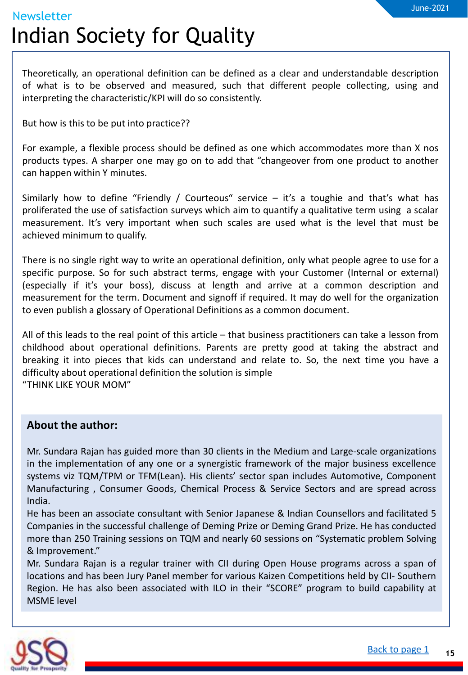Theoretically, an operational definition can be defined as a clear and understandable description of what is to be observed and measured, such that different people collecting, using and interpreting the characteristic/KPI will do so consistently.

But how is this to be put into practice??

For example, a flexible process should be defined as one which accommodates more than X nos products types. A sharper one may go on to add that "changeover from one product to another can happen within Y minutes.

Similarly how to define "Friendly / Courteous" service – it's a toughie and that's what has proliferated the use of satisfaction surveys which aim to quantify a qualitative term using a scalar measurement. It's very important when such scales are used what is the level that must be achieved minimum to qualify.

There is no single right way to write an operational definition, only what people agree to use for a specific purpose. So for such abstract terms, engage with your Customer (Internal or external) (especially if it's your boss), discuss at length and arrive at a common description and measurement for the term. Document and signoff if required. It may do well for the organization to even publish a glossary of Operational Definitions as a common document.

a All of this leads to the real point of this article – that business practitioners can take a lesson from childhood about operational definitions. Parents are pretty good at taking the abstract and breaking it into pieces that kids can understand and relate to. So, the next time you have a difficulty about operational definition the solution is simple "THINK LIKE YOUR MOM"

### **About the author:**

Mr. Sundara Rajan has guided more than 30 clients in the Medium and Large-scale organizations in the implementation of any one or a synergistic framework of the major business excellence systems viz TQM/TPM or TFM(Lean). His clients' sector span includes Automotive, Component Manufacturing , Consumer Goods, Chemical Process & Service Sectors and are spread across India.

He has been an associate consultant with Senior Japanese & Indian Counsellors and facilitated 5 Companies in the successful challenge of Deming Prize or Deming Grand Prize. He has conducted more than 250 Training sessions on TQM and nearly 60 sessions on "Systematic problem Solving & Improvement."

Mr. Sundara Rajan is a regular trainer with CII during Open House programs across a span of locations and has been Jury Panel member for various Kaizen Competitions held by CII- Southern Region. He has also been associated with ILO in their "SCORE" program to build capability at MSME level

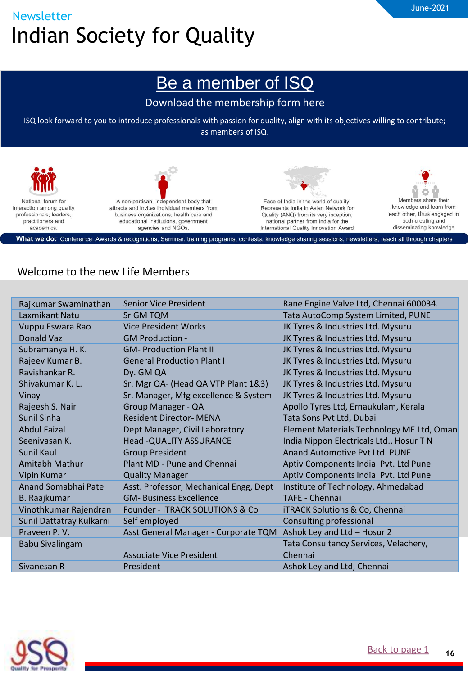### [Be a member of ISQ](https://www.isqnet.org/membership/index.html)

### [Download the membership](https://www.isqnet.org/wp-content/uploads/2017/06/Individual-Membereship-form-New.pdf) form here

<span id="page-15-0"></span>ISQ look forward to you to introduce professionals with passion for quality, align with its objectives willing to contribute; as members of ISQ.



### Welcome to the new Life Members

| Rajkumar Swaminathan     | Senior Vice President                  | Rane Engine Valve Ltd, Chennai 600034.    |
|--------------------------|----------------------------------------|-------------------------------------------|
| Laxmikant Natu           | Sr GM TQM                              | Tata AutoComp System Limited, PUNE        |
| Vuppu Eswara Rao         | <b>Vice President Works</b>            | JK Tyres & Industries Ltd. Mysuru         |
| Donald Vaz               | <b>GM Production -</b>                 | JK Tyres & Industries Ltd. Mysuru         |
| Subramanya H. K.         | <b>GM-Production Plant II</b>          | JK Tyres & Industries Ltd. Mysuru         |
| Rajeev Kumar B.          | <b>General Production Plant I</b>      | JK Tyres & Industries Ltd. Mysuru         |
| Ravishankar R.           | Dy. GM QA                              | JK Tyres & Industries Ltd. Mysuru         |
| Shivakumar K. L.         | Sr. Mgr QA- (Head QA VTP Plant 1&3)    | JK Tyres & Industries Ltd. Mysuru         |
| Vinay                    | Sr. Manager, Mfg excellence & System   | JK Tyres & Industries Ltd. Mysuru         |
| Rajeesh S. Nair          | Group Manager - QA                     | Apollo Tyres Ltd, Ernaukulam, Kerala      |
| Sunil Sinha              | <b>Resident Director- MENA</b>         | Tata Sons Pvt Ltd, Dubai                  |
| <b>Abdul Faizal</b>      | Dept Manager, Civil Laboratory         | Element Materials Technology ME Ltd, Oman |
| Seenivasan K.            | <b>Head - QUALITY ASSURANCE</b>        | India Nippon Electricals Ltd., Hosur T N  |
| Sunil Kaul               | <b>Group President</b>                 | Anand Automotive Pvt Ltd. PUNE            |
| Amitabh Mathur           | Plant MD - Pune and Chennai            | Aptiv Components India Pvt. Ltd Pune      |
| Vipin Kumar              | <b>Quality Manager</b>                 | Aptiv Components India Pvt. Ltd Pune      |
| Anand Somabhai Patel     | Asst. Professor, Mechanical Engg, Dept | Institute of Technology, Ahmedabad        |
| B. Raajkumar             | <b>GM- Business Excellence</b>         | <b>TAFE - Chennai</b>                     |
| Vinothkumar Rajendran    | Founder - iTRACK SOLUTIONS & Co        | <b>iTRACK Solutions &amp; Co, Chennai</b> |
| Sunil Dattatray Kulkarni | Self employed                          | Consulting professional                   |
| Praveen P.V.             | Asst General Manager - Corporate TQM   | Ashok Leyland Ltd - Hosur 2               |
| <b>Babu Sivalingam</b>   |                                        | Tata Consultancy Services, Velachery,     |
|                          | Associate Vice President               | Chennai                                   |
| Sivanesan R              | President                              | Ashok Leyland Ltd, Chennai                |